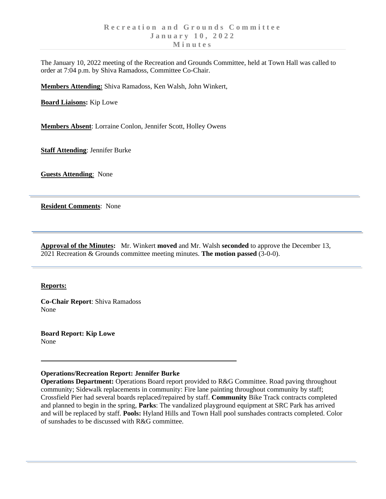The January 10, 2022 meeting of the Recreation and Grounds Committee, held at Town Hall was called to order at 7:04 p.m. by Shiva Ramadoss, Committee Co-Chair.

**Members Attending:** Shiva Ramadoss, Ken Walsh, John Winkert,

**Board Liaisons:** Kip Lowe

**Members Absent**: Lorraine Conlon, Jennifer Scott, Holley Owens

**Staff Attending**: Jennifer Burke

**Guests Attending**: None

**Resident Comments**: None

**Approval of the Minutes:** Mr. Winkert **moved** and Mr. Walsh **seconded** to approve the December 13, 2021 Recreation & Grounds committee meeting minutes. **The motion passed** (3-0-0).

## **Reports:**

**Co-Chair Report**: Shiva Ramadoss None

**Board Report: Kip Lowe** None

## **Operations/Recreation Report: Jennifer Burke**

**Operations Department:** Operations Board report provided to R&G Committee. Road paving throughout community; Sidewalk replacements in community: Fire lane painting throughout community by staff; Crossfield Pier had several boards replaced/repaired by staff. **Community** Bike Track contracts completed and planned to begin in the spring, **Parks**: The vandalized playground equipment at SRC Park has arrived and will be replaced by staff. **Pools:** Hyland Hills and Town Hall pool sunshades contracts completed. Color of sunshades to be discussed with R&G committee.